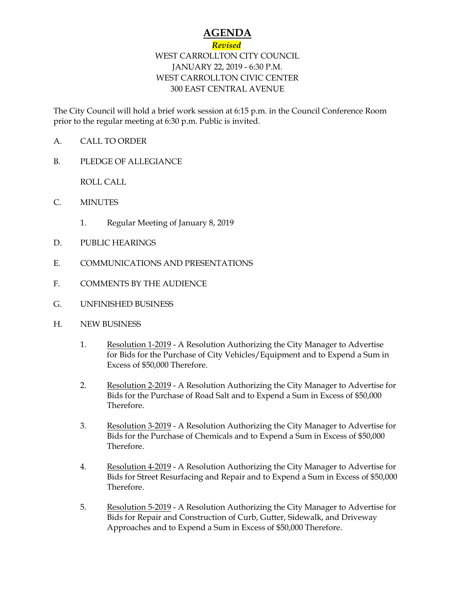## **AGENDA**

## *Revised* WEST CARROLLTON CITY COUNCIL JANUARY 22, 2019 - 6:30 P.M. WEST CARROLLTON CIVIC CENTER

## 300 EAST CENTRAL AVENUE

The City Council will hold a brief work session at 6:15 p.m. in the Council Conference Room prior to the regular meeting at 6:30 p.m. Public is invited.

- A. CALL TO ORDER
- B. PLEDGE OF ALLEGIANCE

ROLL CALL

- C. MINUTES
	- 1. Regular Meeting of January 8, 2019
- D. PUBLIC HEARINGS
- E. COMMUNICATIONS AND PRESENTATIONS
- F. COMMENTS BY THE AUDIENCE
- G. UNFINISHED BUSINESS
- H. NEW BUSINESS
	- 1. Resolution 1-2019 A Resolution Authorizing the City Manager to Advertise for Bids for the Purchase of City Vehicles/Equipment and to Expend a Sum in Excess of \$50,000 Therefore.
	- 2. Resolution 2-2019 A Resolution Authorizing the City Manager to Advertise for Bids for the Purchase of Road Salt and to Expend a Sum in Excess of \$50,000 Therefore.
	- 3. Resolution 3-2019 A Resolution Authorizing the City Manager to Advertise for Bids for the Purchase of Chemicals and to Expend a Sum in Excess of \$50,000 Therefore.
	- 4. Resolution 4-2019 A Resolution Authorizing the City Manager to Advertise for Bids for Street Resurfacing and Repair and to Expend a Sum in Excess of \$50,000 Therefore.
	- 5. Resolution 5-2019 A Resolution Authorizing the City Manager to Advertise for Bids for Repair and Construction of Curb, Gutter, Sidewalk, and Driveway Approaches and to Expend a Sum in Excess of \$50,000 Therefore.